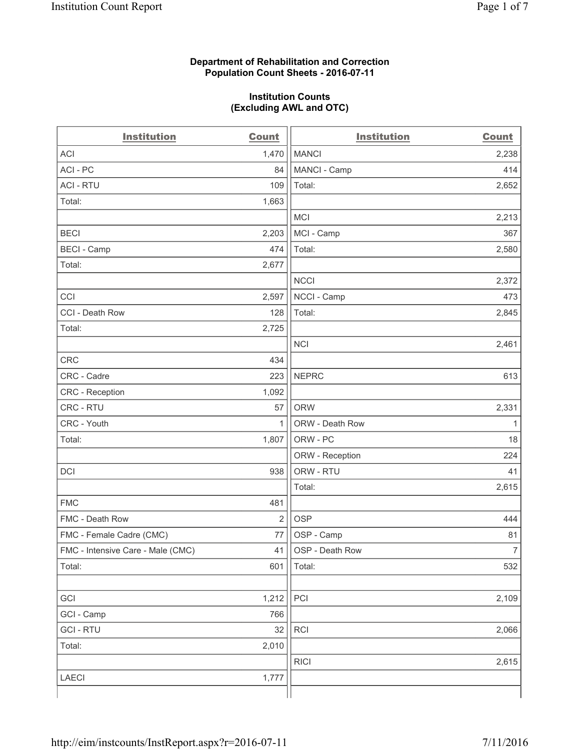## **Department of Rehabilitation and Correction Population Count Sheets - 2016-07-11**

### **Institution Counts (Excluding AWL and OTC)**

| <b>Institution</b>                | Count          | <b>Institution</b> | <b>Count</b>   |
|-----------------------------------|----------------|--------------------|----------------|
| <b>ACI</b>                        | 1,470          | <b>MANCI</b>       | 2,238          |
| ACI-PC                            | 84             | MANCI - Camp       | 414            |
| <b>ACI - RTU</b>                  | 109            | Total:             | 2,652          |
| Total:                            | 1,663          |                    |                |
|                                   |                | <b>MCI</b>         | 2,213          |
| <b>BECI</b>                       | 2,203          | MCI - Camp         | 367            |
| <b>BECI</b> - Camp                | 474            | Total:             | 2,580          |
| Total:                            | 2,677          |                    |                |
|                                   |                | <b>NCCI</b>        | 2,372          |
| CCI                               | 2,597          | NCCI - Camp        | 473            |
| CCI - Death Row                   | 128            | Total:             | 2,845          |
| Total:                            | 2,725          |                    |                |
|                                   |                | <b>NCI</b>         | 2,461          |
| <b>CRC</b>                        | 434            |                    |                |
| CRC - Cadre                       | 223            | <b>NEPRC</b>       | 613            |
| CRC - Reception                   | 1,092          |                    |                |
| CRC - RTU                         | 57             | <b>ORW</b>         | 2,331          |
| CRC - Youth                       | 1              | ORW - Death Row    | 1              |
| Total:                            | 1,807          | ORW - PC           | 18             |
|                                   |                | ORW - Reception    | 224            |
| DCI                               | 938            | ORW - RTU          | 41             |
|                                   |                | Total:             | 2,615          |
| <b>FMC</b>                        | 481            |                    |                |
| FMC - Death Row                   | $\overline{2}$ | <b>OSP</b>         | 444            |
| FMC - Female Cadre (CMC)          | 77             | OSP - Camp         | 81             |
| FMC - Intensive Care - Male (CMC) | 41             | OSP - Death Row    | $\overline{7}$ |
| Total:                            | 601            | Total:             | 532            |
|                                   |                |                    |                |
| GCI                               | 1,212          | PCI                | 2,109          |
| GCI - Camp                        | 766            |                    |                |
| <b>GCI-RTU</b>                    | 32             | RCI                | 2,066          |
| Total:                            | 2,010          |                    |                |
|                                   |                | <b>RICI</b>        | 2,615          |
| <b>LAECI</b>                      | 1,777          |                    |                |
|                                   |                |                    |                |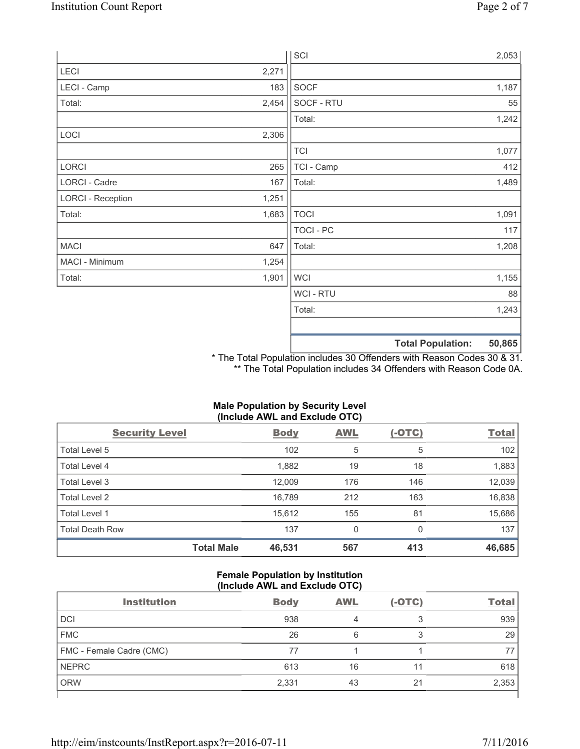|                          |       | SCI            |                          | 2,053  |
|--------------------------|-------|----------------|--------------------------|--------|
| LECI                     | 2,271 |                |                          |        |
| LECI - Camp              | 183   | SOCF           |                          | 1,187  |
| Total:                   | 2,454 | SOCF - RTU     |                          | 55     |
|                          |       | Total:         |                          | 1,242  |
| LOCI                     | 2,306 |                |                          |        |
|                          |       | <b>TCI</b>     |                          | 1,077  |
| LORCI                    | 265   | TCI - Camp     |                          | 412    |
| LORCI - Cadre            | 167   | Total:         |                          | 1,489  |
| <b>LORCI - Reception</b> | 1,251 |                |                          |        |
| Total:                   | 1,683 | <b>TOCI</b>    |                          | 1,091  |
|                          |       | TOCI - PC      |                          | 117    |
| <b>MACI</b>              | 647   | Total:         |                          | 1,208  |
| MACI - Minimum           | 1,254 |                |                          |        |
| Total:                   | 1,901 | <b>WCI</b>     |                          | 1,155  |
|                          |       | <b>WCI-RTU</b> |                          | 88     |
|                          |       | Total:         |                          | 1,243  |
|                          |       |                | <b>Total Population:</b> | 50,865 |

\* The Total Population includes 30 Offenders with Reason Codes 30 & 31. \*\* The Total Population includes 34 Offenders with Reason Code 0A.

# **Male Population by Security Level (Include AWL and Exclude OTC)**

| <b>Security Level</b>  |                   | <b>Body</b> | AWL | $(-OTC)$ | <b>Total</b> |
|------------------------|-------------------|-------------|-----|----------|--------------|
| Total Level 5          |                   | 102         | 5   | 5        | 102          |
| Total Level 4          |                   | 1,882       | 19  | 18       | 1,883        |
| Total Level 3          |                   | 12,009      | 176 | 146      | 12,039       |
| Total Level 2          |                   | 16.789      | 212 | 163      | 16,838       |
| Total Level 1          |                   | 15,612      | 155 | 81       | 15,686       |
| <b>Total Death Row</b> |                   | 137         | 0   | 0        | 137          |
|                        | <b>Total Male</b> | 46,531      | 567 | 413      | 46,685       |

## **Female Population by Institution (Include AWL and Exclude OTC)**

| <b>Institution</b>       | <b>Body</b> | <b>AWL</b> | $(-OTC)$ | <b>Total</b> |
|--------------------------|-------------|------------|----------|--------------|
| <b>DCI</b>               | 938         |            | っ        | 939          |
| <b>FMC</b>               | 26          | 6          | ◠<br>O   | 29           |
| FMC - Female Cadre (CMC) | 77          |            |          |              |
| <b>NEPRC</b>             | 613         | 16         | 11       | 618          |
| <b>ORW</b>               | 2,331       | 43         | 21       | 2,353        |
|                          |             |            |          |              |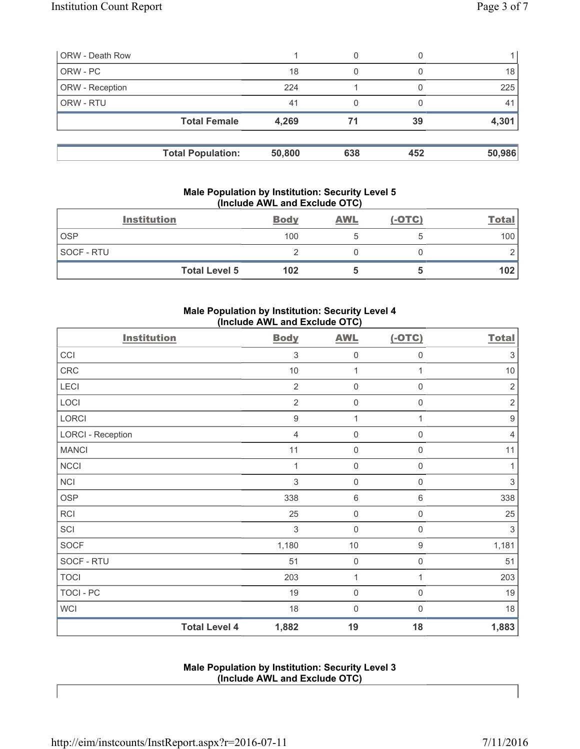| <b>ORW</b> - Death Row |                          |        | 0   |     |        |
|------------------------|--------------------------|--------|-----|-----|--------|
| ORW - PC               |                          | 18     | 0   |     | 18     |
| ORW - Reception        |                          | 224    |     |     | 225    |
| ORW - RTU              |                          | 41     |     |     | 41     |
|                        | <b>Total Female</b>      | 4,269  | 71  | 39  | 4,301  |
|                        | <b>Total Population:</b> | 50,800 | 638 | 452 | 50,986 |

## **Male Population by Institution: Security Level 5 (Include AWL and Exclude OTC)**

|            | <b>Institution</b>   | <b>Body</b> | <b>AWL</b> | $(-OTC)$ | <b>Total</b> |
|------------|----------------------|-------------|------------|----------|--------------|
| <b>OSP</b> |                      | 100         |            |          | 100          |
| SOCF - RTU |                      |             |            |          |              |
|            | <b>Total Level 5</b> | 102         |            |          | 102          |

## **Male Population by Institution: Security Level 4 (Include AWL and Exclude OTC)**

| <b>Institution</b>       |                      | <b>Body</b>      | <b>AWL</b>          | $(-OTC)$            | <b>Total</b>     |
|--------------------------|----------------------|------------------|---------------------|---------------------|------------------|
| CCI                      |                      | 3                | $\mathsf{O}\xspace$ | $\mathsf 0$         | $\sqrt{3}$       |
| CRC                      |                      | 10               | 1                   | 1                   | $10$             |
| LECI                     |                      | $\overline{2}$   | $\mathsf{O}\xspace$ | $\mathsf{O}\xspace$ | $\sqrt{2}$       |
| LOCI                     |                      | $\overline{2}$   | $\mathsf{O}\xspace$ | $\mathsf{O}\xspace$ | $\sqrt{2}$       |
| LORCI                    |                      | $\boldsymbol{9}$ | $\mathbf{1}$        | 1                   | $\boldsymbol{9}$ |
| <b>LORCI - Reception</b> |                      | $\overline{4}$   | $\mathsf{O}\xspace$ | $\boldsymbol{0}$    | $\overline{4}$   |
| <b>MANCI</b>             |                      | 11               | $\mathbf 0$         | $\boldsymbol{0}$    | 11               |
| <b>NCCI</b>              |                      | 1                | $\mathsf{O}\xspace$ | $\mathsf{O}\xspace$ | 1                |
| NCI                      |                      | 3                | $\mathsf{O}\xspace$ | $\boldsymbol{0}$    | $\sqrt{3}$       |
| <b>OSP</b>               |                      | 338              | $\,6\,$             | $\,6\,$             | 338              |
| RCI                      |                      | 25               | $\mathsf{O}\xspace$ | $\mathbf 0$         | 25               |
| SCI                      |                      | 3                | $\mathsf{O}\xspace$ | $\mathsf{O}\xspace$ | $\mathfrak{Z}$   |
| <b>SOCF</b>              |                      | 1,180            | $10$                | $\boldsymbol{9}$    | 1,181            |
| SOCF - RTU               |                      | 51               | $\mathsf{O}\xspace$ | 0                   | 51               |
| <b>TOCI</b>              |                      | 203              | $\mathbf{1}$        | 1                   | 203              |
| <b>TOCI - PC</b>         |                      | 19               | $\mathsf{O}\xspace$ | $\mathsf{O}\xspace$ | 19               |
| WCI                      |                      | 18               | $\mathsf{O}\xspace$ | $\boldsymbol{0}$    | 18               |
|                          | <b>Total Level 4</b> | 1,882            | 19                  | 18                  | 1,883            |

## **Male Population by Institution: Security Level 3 (Include AWL and Exclude OTC)**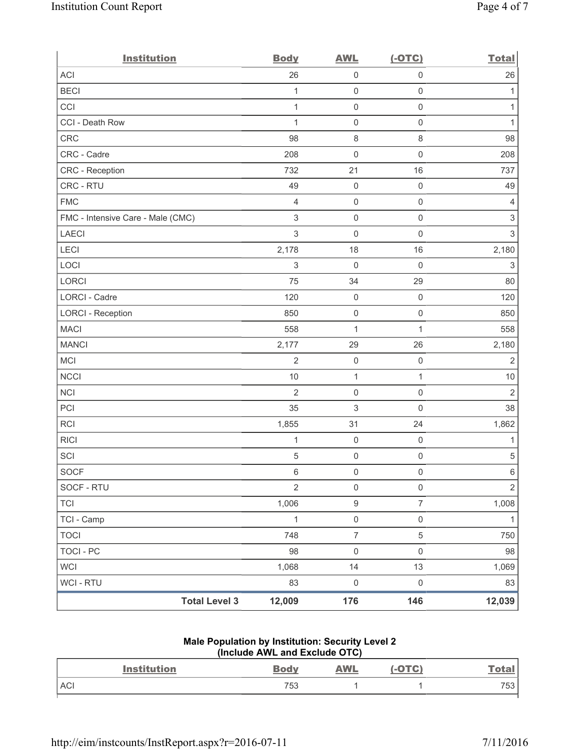| <b>Institution</b>                | <b>Body</b>               | <b>AWL</b>          | $(-OTC)$            | <b>Total</b>              |
|-----------------------------------|---------------------------|---------------------|---------------------|---------------------------|
| ACI                               | 26                        | $\mathsf 0$         | $\mathbf 0$         | 26                        |
| <b>BECI</b>                       | 1                         | 0                   | $\mathsf 0$         | 1                         |
| CCI                               | 1                         | $\mathsf 0$         | $\mathsf{O}\xspace$ | $\mathbf{1}$              |
| CCI - Death Row                   | 1                         | $\mathsf 0$         | $\mathsf 0$         | $\mathbf{1}$              |
| CRC                               | 98                        | 8                   | $\,8\,$             | 98                        |
| CRC - Cadre                       | 208                       | $\mathsf{O}\xspace$ | $\mathsf 0$         | 208                       |
| CRC - Reception                   | 732                       | 21                  | 16                  | 737                       |
| CRC - RTU                         | 49                        | $\mathsf 0$         | $\mathsf{O}\xspace$ | 49                        |
| <b>FMC</b>                        | $\overline{4}$            | 0                   | $\mathsf{O}\xspace$ | 4                         |
| FMC - Intensive Care - Male (CMC) | $\ensuremath{\mathsf{3}}$ | $\mathsf{O}\xspace$ | $\mathsf{O}\xspace$ | $\ensuremath{\mathsf{3}}$ |
| <b>LAECI</b>                      | $\sqrt{3}$                | $\mathsf 0$         | $\mathsf{O}\xspace$ | $\ensuremath{\mathsf{3}}$ |
| LECI                              | 2,178                     | 18                  | 16                  | 2,180                     |
| LOCI                              | $\sqrt{3}$                | 0                   | $\mathsf{O}\xspace$ | $\ensuremath{\mathsf{3}}$ |
| <b>LORCI</b>                      | 75                        | 34                  | 29                  | 80                        |
| LORCI - Cadre                     | 120                       | 0                   | $\mathsf 0$         | 120                       |
| <b>LORCI - Reception</b>          | 850                       | $\mathsf 0$         | $\mathsf{O}\xspace$ | 850                       |
| <b>MACI</b>                       | 558                       | $\mathbf{1}$        | 1                   | 558                       |
| <b>MANCI</b>                      | 2,177                     | 29                  | 26                  | 2,180                     |
| <b>MCI</b>                        | $\overline{2}$            | $\mathsf{O}\xspace$ | $\mathbf 0$         | $\overline{2}$            |
| <b>NCCI</b>                       | 10                        | $\mathbf{1}$        | 1                   | $10$                      |
| NCI                               | $\overline{2}$            | $\mathsf{O}\xspace$ | $\mathsf 0$         | $\overline{2}$            |
| PCI                               | 35                        | 3                   | $\mathbf 0$         | 38                        |
| RCI                               | 1,855                     | 31                  | 24                  | 1,862                     |
| <b>RICI</b>                       | 1                         | 0                   | $\mathsf 0$         | 1                         |
| SCI                               | $\sqrt{5}$                | $\mathsf 0$         | $\mathsf 0$         | $\,$ 5 $\,$               |
| SOCF                              | $\,6$                     | $\mathsf{O}\xspace$ | $\mathbf 0$         | 6                         |
| SOCF - RTU                        | $\overline{2}$            | $\mathsf{O}\xspace$ | $\mathsf 0$         | $\overline{2}$            |
| <b>TCI</b>                        | 1,006                     | $\boldsymbol{9}$    | $\overline{7}$      | 1,008                     |
| TCI - Camp                        | $\mathbf{1}$              | $\mathsf{O}\xspace$ | $\mathsf{O}\xspace$ | $\mathbf{1}$              |
| <b>TOCI</b>                       | 748                       | $\overline{7}$      | $\sqrt{5}$          | 750                       |
| <b>TOCI - PC</b>                  | 98                        | $\mathsf{O}\xspace$ | $\mathbf 0$         | 98                        |
| <b>WCI</b>                        | 1,068                     | 14                  | 13                  | 1,069                     |
| WCI - RTU                         | 83                        | $\mathsf{O}\xspace$ | $\mathsf 0$         | 83                        |
| <b>Total Level 3</b>              | 12,009                    | 176                 | 146                 | 12,039                    |

# **Male Population by Institution: Security Level 2 (Include AWL and Exclude OTC)**

| <b>Institution</b> | <b>Body</b> | <b>AWL</b> | <b>OTC</b> | <u>Tota</u> |
|--------------------|-------------|------------|------------|-------------|
| <b>ACI</b>         | 753         |            |            | 753         |
|                    |             |            |            |             |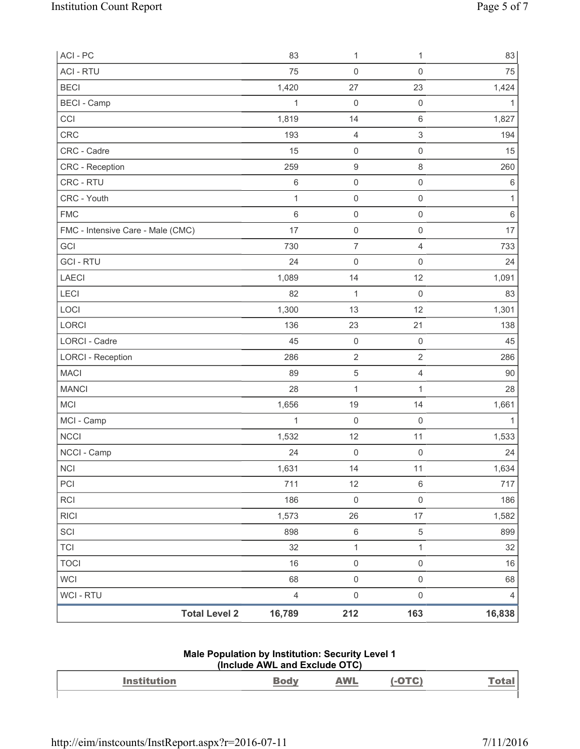| ACI - PC                          | 83             | 1                   | 1                         | 83             |
|-----------------------------------|----------------|---------------------|---------------------------|----------------|
| <b>ACI - RTU</b>                  | 75             | $\mathsf{O}\xspace$ | $\mathsf{O}\xspace$       | 75             |
| <b>BECI</b>                       | 1,420          | 27                  | 23                        | 1,424          |
| <b>BECI - Camp</b>                | $\mathbf{1}$   | $\mathsf 0$         | $\mathsf 0$               | 1              |
| CCI                               | 1,819          | 14                  | $\,6\,$                   | 1,827          |
| <b>CRC</b>                        | 193            | 4                   | $\ensuremath{\mathsf{3}}$ | 194            |
| CRC - Cadre                       | 15             | $\mathsf 0$         | $\mathsf 0$               | 15             |
| CRC - Reception                   | 259            | 9                   | $\,8\,$                   | 260            |
| CRC - RTU                         | $\,6\,$        | $\mathsf 0$         | $\mathsf 0$               | $\,6\,$        |
| CRC - Youth                       | $\mathbf 1$    | 0                   | $\mathsf 0$               | 1              |
| <b>FMC</b>                        | 6              | $\mathsf 0$         | $\mathsf 0$               | $\,6\,$        |
| FMC - Intensive Care - Male (CMC) | 17             | $\mathsf 0$         | $\mathsf{O}\xspace$       | 17             |
| GCI                               | 730            | $\overline{7}$      | $\overline{4}$            | 733            |
| <b>GCI-RTU</b>                    | 24             | $\mathsf 0$         | $\mathsf{O}\xspace$       | 24             |
| <b>LAECI</b>                      | 1,089          | 14                  | 12                        | 1,091          |
| LECI                              | 82             | $\mathbf{1}$        | $\mathsf{O}\xspace$       | 83             |
| LOCI                              | 1,300          | 13                  | 12                        | 1,301          |
| LORCI                             | 136            | 23                  | 21                        | 138            |
| <b>LORCI - Cadre</b>              | 45             | $\mathsf 0$         | $\mathsf 0$               | 45             |
| <b>LORCI - Reception</b>          | 286            | $\mathbf 2$         | $\sqrt{2}$                | 286            |
| <b>MACI</b>                       | 89             | $\mathbf 5$         | $\overline{4}$            | 90             |
| <b>MANCI</b>                      | 28             | $\mathbf{1}$        | $\mathbf{1}$              | 28             |
| <b>MCI</b>                        | 1,656          | 19                  | 14                        | 1,661          |
| MCI - Camp                        | $\mathbf{1}$   | 0                   | $\mathsf{O}\xspace$       | $\mathbf{1}$   |
| <b>NCCI</b>                       | 1,532          | 12                  | 11                        | 1,533          |
| NCCI - Camp                       | 24             | 0                   | $\mathsf 0$               | 24             |
| <b>NCI</b>                        | 1,631          | 14                  | 11                        | 1,634          |
| PCI                               | 711            | 12                  | $\,6\,$                   | 717            |
| RCI                               | 186            | $\mathsf 0$         | $\mathsf 0$               | 186            |
| <b>RICI</b>                       | 1,573          | 26                  | 17                        | 1,582          |
| SCI                               | 898            | $\,6\,$             | $\sqrt{5}$                | 899            |
| <b>TCI</b>                        | 32             | $\mathbf 1$         | $\mathbf{1}$              | 32             |
| <b>TOCI</b>                       | 16             | 0                   | $\mathsf 0$               | 16             |
| <b>WCI</b>                        | 68             | $\mathsf{O}\xspace$ | $\mathsf 0$               | 68             |
| WCI - RTU                         | $\overline{4}$ | $\mathsf{O}\xspace$ | $\mathsf 0$               | $\overline{4}$ |
| <b>Total Level 2</b>              | 16,789         | 212                 | 163                       | 16,838         |

### **Male Population by Institution: Security Level 1 (Include AWL and Exclude OTC)**

| $\mathbf{A}$ and $\mathbf{A}$<br>--------- | <b><i>MAI</i></b><br>and the contract of the contract of |  |
|--------------------------------------------|----------------------------------------------------------|--|
|                                            |                                                          |  |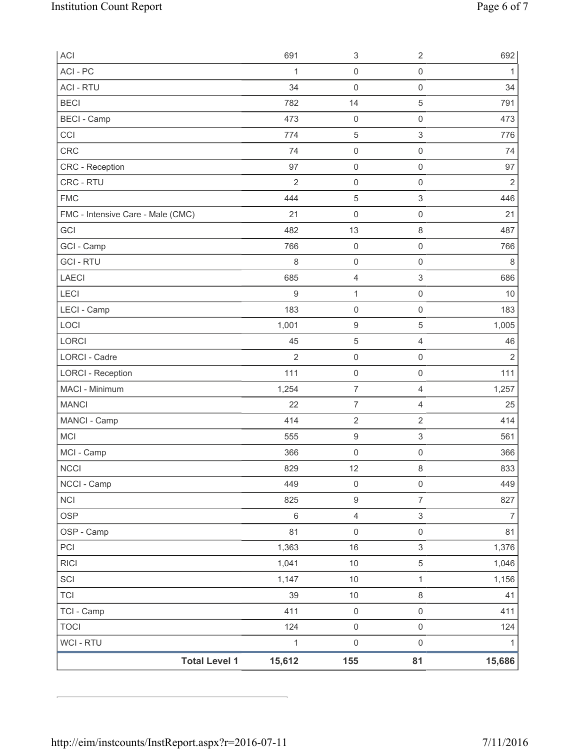| ACI                               | 691              | $\ensuremath{\mathsf{3}}$ | $\sqrt{2}$          | 692            |
|-----------------------------------|------------------|---------------------------|---------------------|----------------|
| ACI-PC                            | $\mathbf{1}$     | $\mathsf{O}\xspace$       | $\mathsf 0$         | 1              |
| <b>ACI - RTU</b>                  | 34               | $\mathsf{O}\xspace$       | $\mathsf 0$         | 34             |
| <b>BECI</b>                       | 782              | 14                        | $\sqrt{5}$          | 791            |
| <b>BECI</b> - Camp                | 473              | $\mathsf 0$               | $\mathsf 0$         | 473            |
| CCI                               | 774              | 5                         | 3                   | 776            |
| <b>CRC</b>                        | 74               | $\mathsf{O}\xspace$       | $\mathsf 0$         | 74             |
| <b>CRC</b> - Reception            | 97               | $\mathsf{O}\xspace$       | $\mathsf{O}\xspace$ | 97             |
| CRC - RTU                         | $\overline{2}$   | $\mathsf{O}\xspace$       | $\mathsf 0$         | $\mathbf 2$    |
| <b>FMC</b>                        | 444              | $\mathbf 5$               | $\,$ 3 $\,$         | 446            |
| FMC - Intensive Care - Male (CMC) | 21               | 0                         | $\mathsf 0$         | 21             |
| GCI                               | 482              | 13                        | $\,8\,$             | 487            |
| GCI - Camp                        | 766              | $\mathsf{O}\xspace$       | $\mathsf{O}\xspace$ | 766            |
| <b>GCI-RTU</b>                    | 8                | $\mathsf{O}\xspace$       | $\mathsf 0$         | 8              |
| <b>LAECI</b>                      | 685              | 4                         | $\mathsf 3$         | 686            |
| LECI                              | $\boldsymbol{9}$ | $\mathbf{1}$              | $\mathsf 0$         | 10             |
| LECI - Camp                       | 183              | $\mathsf 0$               | $\mathsf{O}\xspace$ | 183            |
| LOCI                              | 1,001            | 9                         | 5                   | 1,005          |
| LORCI                             | 45               | $\mathbf 5$               | $\overline{4}$      | 46             |
| LORCI - Cadre                     | $\overline{2}$   | $\mathsf 0$               | $\mathsf{O}\xspace$ | $\overline{2}$ |
| <b>LORCI - Reception</b>          | 111              | 0                         | $\mathsf 0$         | 111            |
| MACI - Minimum                    | 1,254            | $\overline{7}$            | $\overline{4}$      | 1,257          |
| <b>MANCI</b>                      | 22               | $\overline{7}$            | $\overline{4}$      | 25             |
| MANCI - Camp                      | 414              | $\sqrt{2}$                | $\sqrt{2}$          | 414            |
| <b>MCI</b>                        | 555              | $\boldsymbol{9}$          | $\mathsf 3$         | 561            |
| MCI - Camp                        | 366              | $\mathsf 0$               | $\mathsf{O}\xspace$ | 366            |
| NCCI                              | 829              | 12                        | $\,8\,$             | 833            |
| NCCI - Camp                       | 449              | $\mathsf{O}\xspace$       | $\mathsf 0$         | 449            |
| <b>NCI</b>                        | 825              | $\boldsymbol{9}$          | $\overline{7}$      | 827            |
| <b>OSP</b>                        | $\,6\,$          | $\overline{4}$            | $\mathfrak{S}$      | $\overline{7}$ |
| OSP - Camp                        | 81               | $\mathsf{O}\xspace$       | $\mathsf{O}\xspace$ | 81             |
| PCI                               | 1,363            | $16$                      | $\mathsf 3$         | 1,376          |
| <b>RICI</b>                       | 1,041            | $10$                      | 5                   | 1,046          |
| SCI                               | 1,147            | $10$                      | 1                   | 1,156          |
| <b>TCI</b>                        | 39               | $10$                      | $\,8\,$             | 41             |
| TCI - Camp                        | 411              | $\mathsf{O}\xspace$       | $\mathsf{O}\xspace$ | 411            |
| <b>TOCI</b>                       | 124              | $\mathsf{O}\xspace$       | $\mathsf{O}\xspace$ | 124            |
| WCI - RTU                         | $\mathbf{1}$     | $\mathsf{O}\xspace$       | $\mathsf{O}\xspace$ | 1              |
| <b>Total Level 1</b>              | 15,612           | 155                       | 81                  | 15,686         |